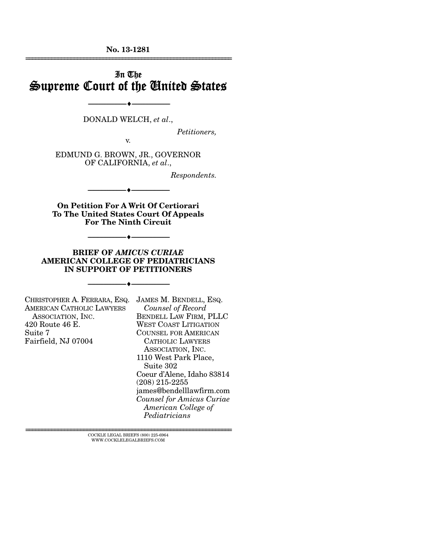**No. 13-1281**  ================================================================

## In The Supreme Court of the United States

DONALD WELCH, *et al*.,

--------------------------------- ---------------------------------

*Petitioners,* 

v.

EDMUND G. BROWN, JR., GOVERNOR OF CALIFORNIA, *et al*.,

*Respondents.* 

**On Petition For A Writ Of Certiorari To The United States Court Of Appeals For The Ninth Circuit** 

--------------------------------- ---------------------------------

--------------------------------- ---------------------------------

**BRIEF OF** *AMICUS CURIAE*  **AMERICAN COLLEGE OF PEDIATRICIANS IN SUPPORT OF PETITIONERS** 

--------------------------------- ---------------------------------

CHRISTOPHER A. FERRARA, ESQ. JAMES M. BENDELL, ESQ. AMERICAN CATHOLIC LAWYERS ASSOCIATION, INC. 420 Route 46 E. Suite 7 Fairfield, NJ 07004

 *Counsel of Record* BENDELL LAW FIRM, PLLC WEST COAST LITIGATION COUNSEL FOR AMERICAN CATHOLIC LAWYERS ASSOCIATION, INC. 1110 West Park Place, Suite 302 Coeur d'Alene, Idaho 83814 (208) 215-2255 james@bendelllawfirm.com *Counsel for Amicus Curiae American College of Pediatricians*

 $\textsc{COCKLE}$  LEGAL BRIEFS (800) 225-6964 WWW.COCKLELEGALBRIEFS.COM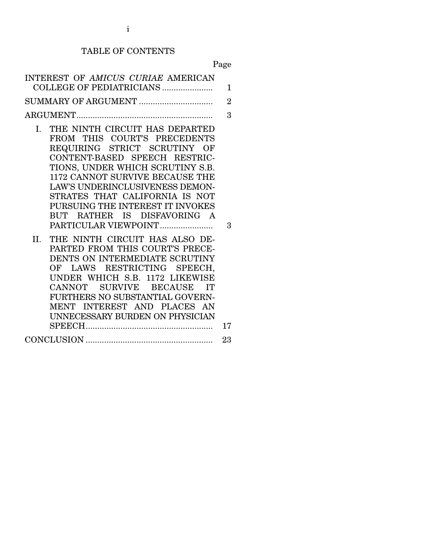## TABLE OF CONTENTS

Page

| INTEREST OF AMICUS CURIAE AMERICAN<br>COLLEGE OF PEDIATRICIANS                                                                                                                                                                                                                                                                                                                                                                                                                                                                                                                                                                                                                                                   | $\mathbf{1}$        |
|------------------------------------------------------------------------------------------------------------------------------------------------------------------------------------------------------------------------------------------------------------------------------------------------------------------------------------------------------------------------------------------------------------------------------------------------------------------------------------------------------------------------------------------------------------------------------------------------------------------------------------------------------------------------------------------------------------------|---------------------|
|                                                                                                                                                                                                                                                                                                                                                                                                                                                                                                                                                                                                                                                                                                                  |                     |
| SUMMARY OF ARGUMENT                                                                                                                                                                                                                                                                                                                                                                                                                                                                                                                                                                                                                                                                                              | $\overline{2}$      |
|                                                                                                                                                                                                                                                                                                                                                                                                                                                                                                                                                                                                                                                                                                                  | 3                   |
| THE NINTH CIRCUIT HAS DEPARTED<br>L.<br>FROM THIS COURT'S PRECEDENTS<br>REQUIRING STRICT SCRUTINY OF<br>CONTENT-BASED SPEECH RESTRIC-<br>TIONS, UNDER WHICH SCRUTINY S.B.<br>1172 CANNOT SURVIVE BECAUSE THE<br><b>LAW'S UNDERINCLUSIVENESS DEMON-</b><br>STRATES THAT CALIFORNIA IS NOT<br>PURSUING THE INTEREST IT INVOKES<br>BUT RATHER IS DISFAVORING A<br>PARTICULAR VIEWPOINT<br>THE NINTH CIRCUIT HAS ALSO DE-<br>II.<br>PARTED FROM THIS COURT'S PRECE-<br>DENTS ON INTERMEDIATE SCRUTINY<br>OF LAWS RESTRICTING SPEECH,<br>UNDER WHICH S.B. 1172 LIKEWISE<br>CANNOT<br>SURVIVE BECAUSE<br>$\Gamma$<br>FURTHERS NO SUBSTANTIAL GOVERN-<br>MENT INTEREST AND PLACES AN<br>UNNECESSARY BURDEN ON PHYSICIAN | $\mathcal{S}$<br>17 |
|                                                                                                                                                                                                                                                                                                                                                                                                                                                                                                                                                                                                                                                                                                                  | 23                  |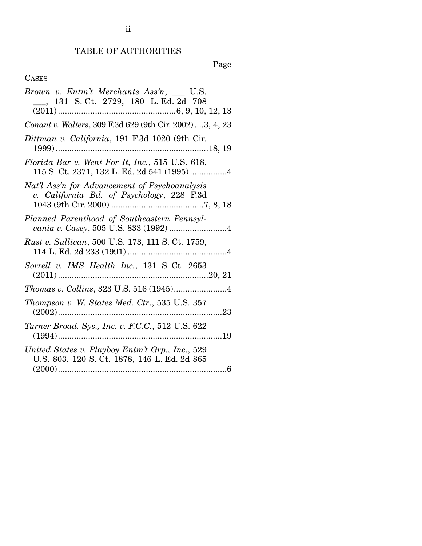# TABLE OF AUTHORITIES

Page

| Brown v. Entm't Merchants Ass'n, __ U.S.<br>__, 131 S. Ct. 2729, 180 L. Ed. 2d 708              |
|-------------------------------------------------------------------------------------------------|
|                                                                                                 |
| Conant v. Walters, 309 F.3d 629 (9th Cir. 2002)  3, 4, 23                                       |
| Dittman v. California, 191 F.3d 1020 (9th Cir.                                                  |
| Florida Bar v. Went For It, Inc., 515 U.S. 618,                                                 |
| Nat'l Ass'n for Advancement of Psychoanalysis<br>v. California Bd. of Psychology, 228 F.3d      |
| Planned Parenthood of Southeastern Pennsyl-                                                     |
| Rust v. Sullivan, 500 U.S. 173, 111 S. Ct. 1759,                                                |
| Sorrell v. IMS Health Inc., 131 S.Ct. 2653                                                      |
|                                                                                                 |
| Thompson v. W. States Med. Ctr., 535 U.S. 357<br>$\ldots$ 23                                    |
| Turner Broad. Sys., Inc. v. F.C.C., 512 U.S. 622<br>$(1994)$<br>19                              |
| United States v. Playboy Entm't Grp., Inc., 529<br>U.S. 803, 120 S. Ct. 1878, 146 L. Ed. 2d 865 |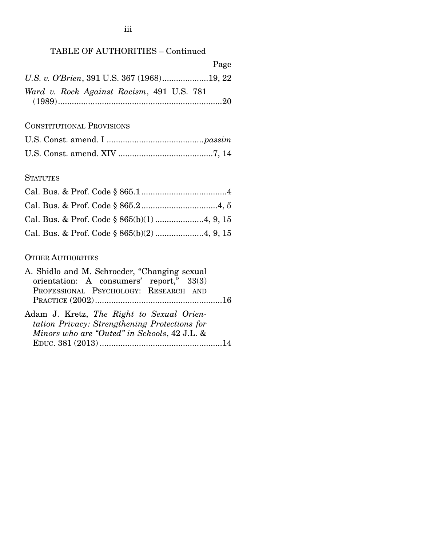## TABLE OF AUTHORITIES – Continued

|                                           | Page |
|-------------------------------------------|------|
|                                           |      |
| Ward v. Rock Against Racism, 491 U.S. 781 |      |

## CONSTITUTIONAL PROVISIONS

### **STATUTES**

### OTHER AUTHORITIES

| A. Shidlo and M. Schroeder, "Changing sexual                                                                                               |  |
|--------------------------------------------------------------------------------------------------------------------------------------------|--|
| orientation: A consumers' report," 33(3)                                                                                                   |  |
| PROFESSIONAL PSYCHOLOGY: RESEARCH AND                                                                                                      |  |
|                                                                                                                                            |  |
| Adam J. Kretz, The Right to Sexual Orien-<br>tation Privacy: Strengthening Protections for<br>Minors who are "Outed" in Schools, 42 J.L. & |  |
|                                                                                                                                            |  |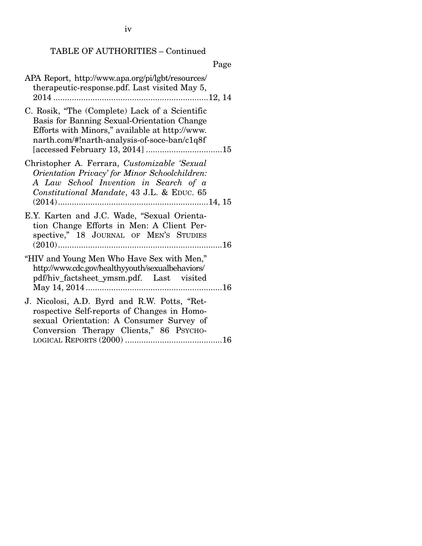iv

#### TABLE OF AUTHORITIES – Continued

## Page APA Report, http://www.apa.org/pi/lgbt/resources/ therapeutic-response.pdf. Last visited May 5, 2014 ................................................................... 12, 14 C. Rosik, "The (Complete) Lack of a Scientific Basis for Banning Sexual-Orientation Change Efforts with Minors," available at http://www. narth.com/#!narth-analysis-of-soce-ban/c1q8f [accessed February 13, 2014] ................................. 15 Christopher A. Ferrara, *Customizable 'Sexual Orientation Privacy' for Minor Schoolchildren: A Law School Invention in Search of a Constitutional Mandate*, 43 J.L. & EDUC. 65 (2014) ................................................................. 14, 15 E.Y. Karten and J.C. Wade, "Sexual Orientation Change Efforts in Men: A Client Perspective," 18 JOURNAL OF MEN'S STUDIES (2010) ....................................................................... 16 "HIV and Young Men Who Have Sex with Men," http://www.cdc.gov/healthyyouth/sexualbehaviors/ pdf/hiv\_factsheet\_ymsm.pdf. Last visited May 14, 2014 ........................................................... 16 J. Nicolosi, A.D. Byrd and R.W. Potts, "Retrospective Self-reports of Changes in Homosexual Orientation: A Consumer Survey of Conversion Therapy Clients," 86 PSYCHO-LOGICAL REPORTS (2000) .......................................... 16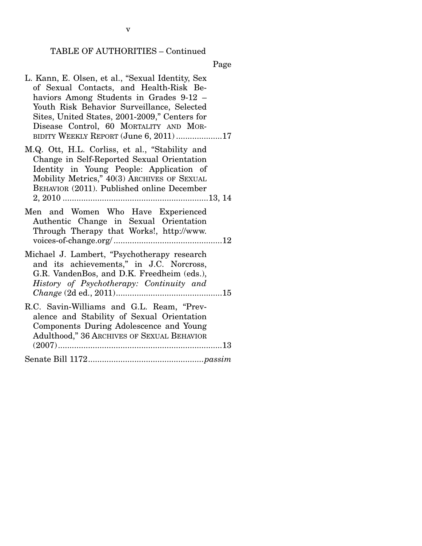## TABLE OF AUTHORITIES – Continued

Page

| L. Kann, E. Olsen, et al., "Sexual Identity, Sex<br>of Sexual Contacts, and Health-Risk Be-<br>haviors Among Students in Grades 9-12 -<br>Youth Risk Behavior Surveillance, Selected<br>Sites, United States, 2001-2009," Centers for<br>Disease Control, 60 MORTALITY AND MOR-<br>BIDITY WEEKLY REPORT (June 6, 2011) 17 |
|---------------------------------------------------------------------------------------------------------------------------------------------------------------------------------------------------------------------------------------------------------------------------------------------------------------------------|
| M.Q. Ott, H.L. Corliss, et al., "Stability and<br>Change in Self-Reported Sexual Orientation<br>Identity in Young People: Application of<br>Mobility Metrics," 40(3) ARCHIVES OF SEXUAL<br>BEHAVIOR (2011). Published online December                                                                                     |
| Men and Women Who Have Experienced<br>Authentic Change in Sexual Orientation<br>Through Therapy that Works!, http://www.                                                                                                                                                                                                  |
| Michael J. Lambert, "Psychotherapy research<br>and its achievements," in J.C. Norcross,<br>G.R. VandenBos, and D.K. Freedheim (eds.),<br>History of Psychotherapy: Continuity and<br>Change (2d ed., 2011)                                                                                                                |
| R.C. Savin-Williams and G.L. Ream, "Prev-<br>alence and Stability of Sexual Orientation<br>Components During Adolescence and Young<br>Adulthood," 36 ARCHIVES OF SEXUAL BEHAVIOR                                                                                                                                          |
|                                                                                                                                                                                                                                                                                                                           |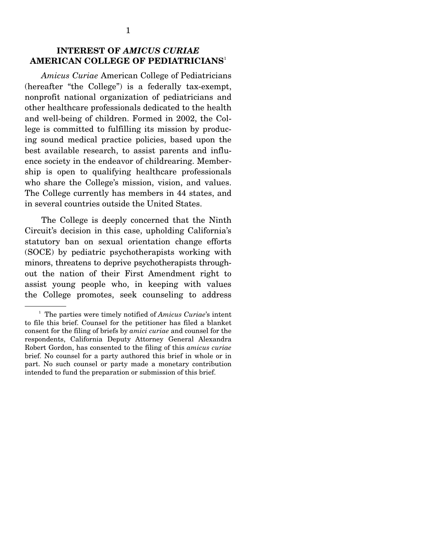## **INTEREST OF** *AMICUS CURIAE* **AMERICAN COLLEGE OF PEDIATRICIANS**<sup>1</sup>

*Amicus Curiae* American College of Pediatricians (hereafter "the College") is a federally tax-exempt, nonprofit national organization of pediatricians and other healthcare professionals dedicated to the health and well-being of children. Formed in 2002, the College is committed to fulfilling its mission by producing sound medical practice policies, based upon the best available research, to assist parents and influence society in the endeavor of childrearing. Membership is open to qualifying healthcare professionals who share the College's mission, vision, and values. The College currently has members in 44 states, and in several countries outside the United States.

 The College is deeply concerned that the Ninth Circuit's decision in this case, upholding California's statutory ban on sexual orientation change efforts (SOCE) by pediatric psychotherapists working with minors, threatens to deprive psychotherapists throughout the nation of their First Amendment right to assist young people who, in keeping with values the College promotes, seek counseling to address

<sup>&</sup>lt;sup>1</sup> The parties were timely notified of *Amicus Curiae*'s intent to file this brief. Counsel for the petitioner has filed a blanket consent for the filing of briefs by *amici curiae* and counsel for the respondents, California Deputy Attorney General Alexandra Robert Gordon, has consented to the filing of this *amicus curiae*  brief. No counsel for a party authored this brief in whole or in part. No such counsel or party made a monetary contribution intended to fund the preparation or submission of this brief.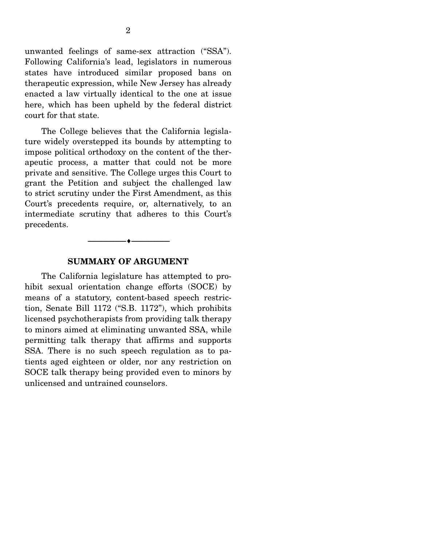unwanted feelings of same-sex attraction ("SSA"). Following California's lead, legislators in numerous states have introduced similar proposed bans on therapeutic expression, while New Jersey has already enacted a law virtually identical to the one at issue here, which has been upheld by the federal district court for that state.

 The College believes that the California legislature widely overstepped its bounds by attempting to impose political orthodoxy on the content of the therapeutic process, a matter that could not be more private and sensitive. The College urges this Court to grant the Petition and subject the challenged law to strict scrutiny under the First Amendment, as this Court's precedents require, or, alternatively, to an intermediate scrutiny that adheres to this Court's precedents.

#### **SUMMARY OF ARGUMENT**

--------------------------------- ---------------------------------

 The California legislature has attempted to prohibit sexual orientation change efforts (SOCE) by means of a statutory, content-based speech restriction, Senate Bill 1172 ("S.B. 1172"), which prohibits licensed psychotherapists from providing talk therapy to minors aimed at eliminating unwanted SSA, while permitting talk therapy that affirms and supports SSA. There is no such speech regulation as to patients aged eighteen or older, nor any restriction on SOCE talk therapy being provided even to minors by unlicensed and untrained counselors.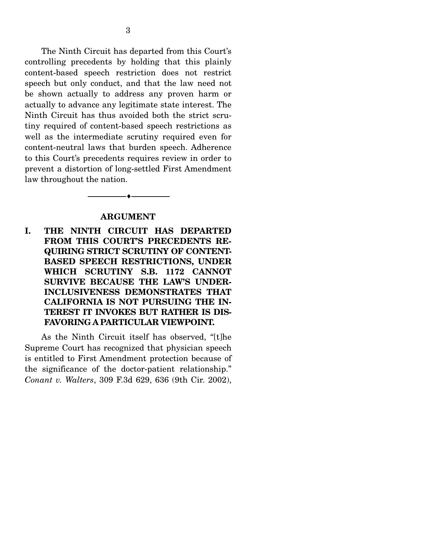The Ninth Circuit has departed from this Court's controlling precedents by holding that this plainly content-based speech restriction does not restrict speech but only conduct, and that the law need not be shown actually to address any proven harm or actually to advance any legitimate state interest. The Ninth Circuit has thus avoided both the strict scrutiny required of content-based speech restrictions as well as the intermediate scrutiny required even for content-neutral laws that burden speech. Adherence to this Court's precedents requires review in order to prevent a distortion of long-settled First Amendment law throughout the nation.

### **ARGUMENT**

--------------------------------- ---------------------------------

**I. THE NINTH CIRCUIT HAS DEPARTED FROM THIS COURT'S PRECEDENTS RE-QUIRING STRICT SCRUTINY OF CONTENT-BASED SPEECH RESTRICTIONS, UNDER WHICH SCRUTINY S.B. 1172 CANNOT SURVIVE BECAUSE THE LAW'S UNDER-INCLUSIVENESS DEMONSTRATES THAT CALIFORNIA IS NOT PURSUING THE IN-TEREST IT INVOKES BUT RATHER IS DIS-FAVORING A PARTICULAR VIEWPOINT.**

 As the Ninth Circuit itself has observed, "[t]he Supreme Court has recognized that physician speech is entitled to First Amendment protection because of the significance of the doctor-patient relationship." *Conant v. Walters*, 309 F.3d 629, 636 (9th Cir. 2002),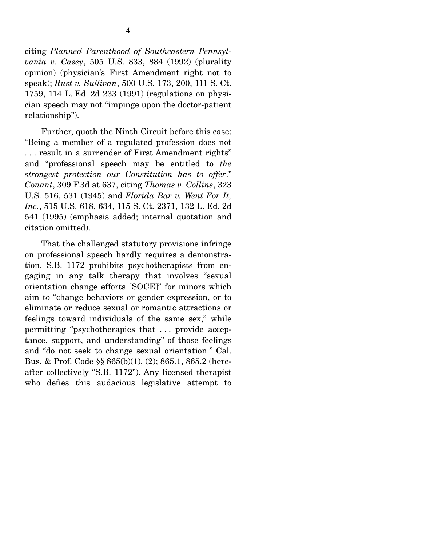cian speech may not "impinge upon the doctor-patient

relationship").

4

 Further, quoth the Ninth Circuit before this case: "Being a member of a regulated profession does not . . . result in a surrender of First Amendment rights" and "professional speech may be entitled to *the strongest protection our Constitution has to offer*." *Conant*, 309 F.3d at 637, citing *Thomas v. Collins*, 323 U.S. 516, 531 (1945) and *Florida Bar v. Went For It, Inc.*, 515 U.S. 618, 634, 115 S. Ct. 2371, 132 L. Ed. 2d 541 (1995) (emphasis added; internal quotation and citation omitted).

 That the challenged statutory provisions infringe on professional speech hardly requires a demonstration. S.B. 1172 prohibits psychotherapists from engaging in any talk therapy that involves "sexual orientation change efforts [SOCE]" for minors which aim to "change behaviors or gender expression, or to eliminate or reduce sexual or romantic attractions or feelings toward individuals of the same sex," while permitting "psychotherapies that . . . provide acceptance, support, and understanding" of those feelings and "do not seek to change sexual orientation." Cal. Bus. & Prof. Code §§ 865(b)(1), (2); 865.1, 865.2 (hereafter collectively "S.B. 1172"). Any licensed therapist who defies this audacious legislative attempt to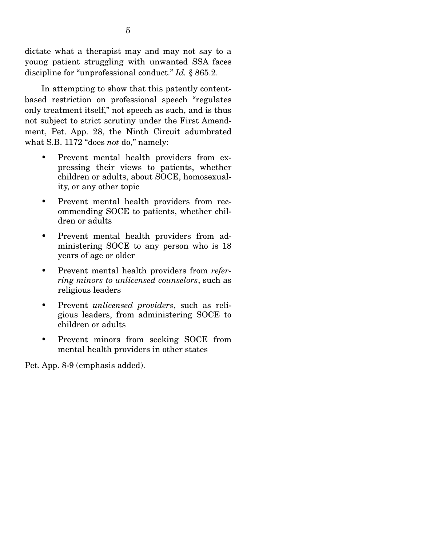dictate what a therapist may and may not say to a young patient struggling with unwanted SSA faces discipline for "unprofessional conduct." *Id.* § 865.2.

 In attempting to show that this patently contentbased restriction on professional speech "regulates only treatment itself," not speech as such, and is thus not subject to strict scrutiny under the First Amendment, Pet. App. 28, the Ninth Circuit adumbrated what S.B. 1172 "does *not* do," namely:

- Prevent mental health providers from expressing their views to patients, whether children or adults, about SOCE, homosexuality, or any other topic
- Prevent mental health providers from recommending SOCE to patients, whether children or adults
- Prevent mental health providers from administering SOCE to any person who is 18 years of age or older
- Prevent mental health providers from *referring minors to unlicensed counselors*, such as religious leaders
- Prevent *unlicensed providers*, such as religious leaders, from administering SOCE to children or adults
- Prevent minors from seeking SOCE from mental health providers in other states

Pet. App. 8-9 (emphasis added).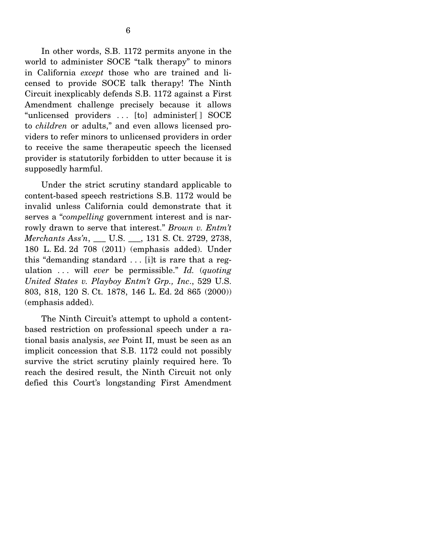In other words, S.B. 1172 permits anyone in the world to administer SOCE "talk therapy" to minors in California *except* those who are trained and licensed to provide SOCE talk therapy! The Ninth Circuit inexplicably defends S.B. 1172 against a First Amendment challenge precisely because it allows "unlicensed providers . . . [to] administer[ ] SOCE to *children* or adults," and even allows licensed providers to refer minors to unlicensed providers in order to receive the same therapeutic speech the licensed provider is statutorily forbidden to utter because it is supposedly harmful.

 Under the strict scrutiny standard applicable to content-based speech restrictions S.B. 1172 would be invalid unless California could demonstrate that it serves a "*compelling* government interest and is narrowly drawn to serve that interest." *Brown v. Entm't Merchants Ass'n*, \_\_\_ U.S. \_\_\_, 131 S. Ct. 2729, 2738, 180 L. Ed. 2d 708 (2011) (emphasis added). Under this "demanding standard  $\ldots$  [i]t is rare that a regulation . . . will *ever* be permissible." *Id.* (*quoting United States v. Playboy Entm't Grp., Inc*., 529 U.S. 803, 818, 120 S. Ct. 1878, 146 L. Ed. 2d 865 (2000)) (emphasis added).

 The Ninth Circuit's attempt to uphold a contentbased restriction on professional speech under a rational basis analysis, *see* Point II, must be seen as an implicit concession that S.B. 1172 could not possibly survive the strict scrutiny plainly required here. To reach the desired result, the Ninth Circuit not only defied this Court's longstanding First Amendment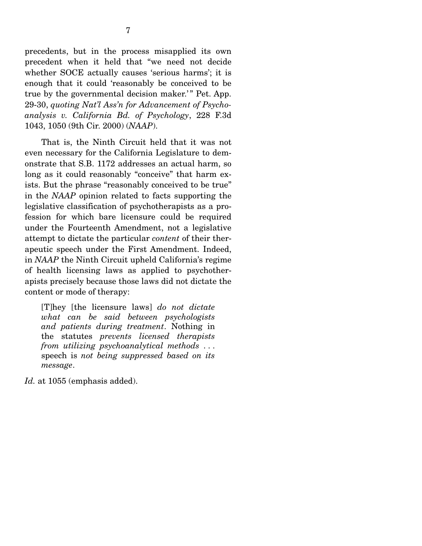precedents, but in the process misapplied its own precedent when it held that "we need not decide whether SOCE actually causes 'serious harms'; it is enough that it could 'reasonably be conceived to be true by the governmental decision maker.'" Pet. App. 29-30, *quoting Nat'l Ass'n for Advancement of Psychoanalysis v. California Bd. of Psychology*, 228 F.3d 1043, 1050 (9th Cir. 2000) (*NAAP*).

 That is, the Ninth Circuit held that it was not even necessary for the California Legislature to demonstrate that S.B. 1172 addresses an actual harm, so long as it could reasonably "conceive" that harm exists. But the phrase "reasonably conceived to be true" in the *NAAP* opinion related to facts supporting the legislative classification of psychotherapists as a profession for which bare licensure could be required under the Fourteenth Amendment, not a legislative attempt to dictate the particular *content* of their therapeutic speech under the First Amendment. Indeed, in *NAAP* the Ninth Circuit upheld California's regime of health licensing laws as applied to psychotherapists precisely because those laws did not dictate the content or mode of therapy:

[T]hey [the licensure laws] *do not dictate what can be said between psychologists and patients during treatment*. Nothing in the statutes *prevents licensed therapists from utilizing psychoanalytical methods* . . . speech is *not being suppressed based on its message*.

*Id.* at 1055 (emphasis added).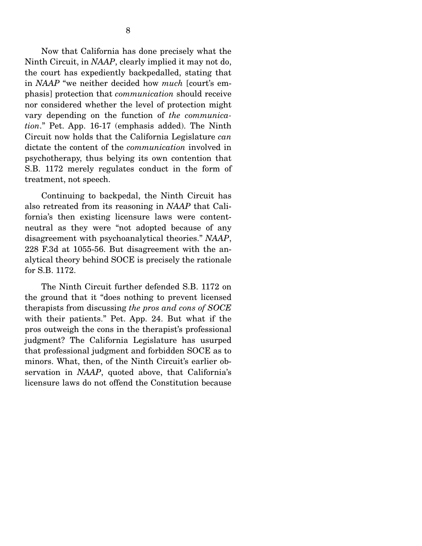Now that California has done precisely what the Ninth Circuit, in *NAAP*, clearly implied it may not do, the court has expediently backpedalled, stating that in *NAAP* "we neither decided how *much* [court's emphasis] protection that *communication* should receive nor considered whether the level of protection might vary depending on the function of *the communication*." Pet. App. 16-17 (emphasis added). The Ninth Circuit now holds that the California Legislature *can* dictate the content of the *communication* involved in psychotherapy, thus belying its own contention that S.B. 1172 merely regulates conduct in the form of treatment, not speech.

 Continuing to backpedal, the Ninth Circuit has also retreated from its reasoning in *NAAP* that California's then existing licensure laws were contentneutral as they were "not adopted because of any disagreement with psychoanalytical theories." *NAAP*, 228 F.3d at 1055-56. But disagreement with the analytical theory behind SOCE is precisely the rationale for S.B. 1172.

 The Ninth Circuit further defended S.B. 1172 on the ground that it "does nothing to prevent licensed therapists from discussing *the pros and cons of SOCE* with their patients." Pet. App. 24. But what if the pros outweigh the cons in the therapist's professional judgment? The California Legislature has usurped that professional judgment and forbidden SOCE as to minors. What, then, of the Ninth Circuit's earlier observation in *NAAP*, quoted above, that California's licensure laws do not offend the Constitution because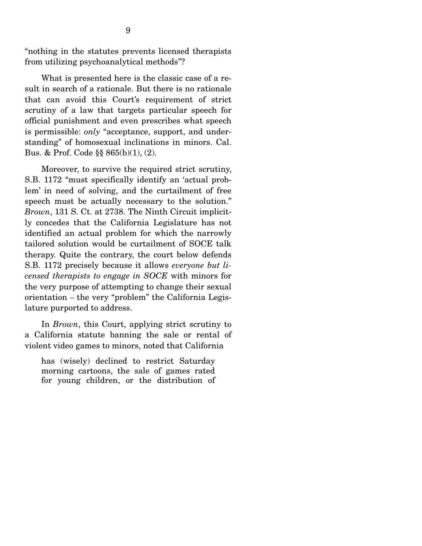"nothing in the statutes prevents licensed therapists from utilizing psychoanalytical methods"?

 What is presented here is the classic case of a result in search of a rationale. But there is no rationale that can avoid this Court's requirement of strict scrutiny of a law that targets particular speech for official punishment and even prescribes what speech is permissible: *only* "acceptance, support, and understanding" of homosexual inclinations in minors. Cal. Bus. & Prof. Code §§ 865(b)(1), (2).

 Moreover, to survive the required strict scrutiny, S.B. 1172 "must specifically identify an 'actual problem' in need of solving, and the curtailment of free speech must be actually necessary to the solution." *Brown*, 131 S. Ct. at 2738. The Ninth Circuit implicitly concedes that the California Legislature has not identified an actual problem for which the narrowly tailored solution would be curtailment of SOCE talk therapy. Quite the contrary, the court below defends S.B. 1172 precisely because it allows *everyone but licensed therapists to engage in SOCE* with minors for the very purpose of attempting to change their sexual orientation *–* the very "problem" the California Legislature purported to address.

 In *Brown*, this Court, applying strict scrutiny to a California statute banning the sale or rental of violent video games to minors, noted that California

has (wisely) declined to restrict Saturday morning cartoons, the sale of games rated for young children, or the distribution of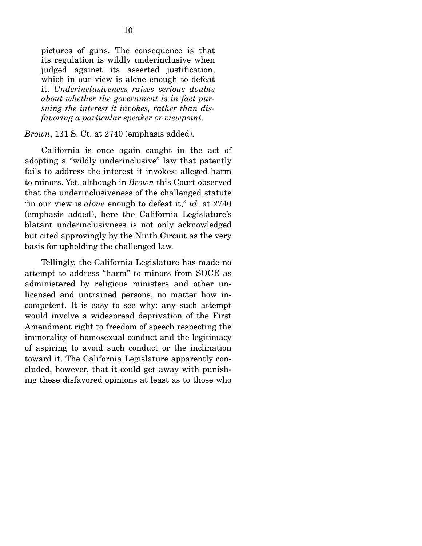pictures of guns. The consequence is that its regulation is wildly underinclusive when judged against its asserted justification, which in our view is alone enough to defeat it. *Underinclusiveness raises serious doubts about whether the government is in fact pursuing the interest it invokes, rather than disfavoring a particular speaker or viewpoint*.

### *Brown*, 131 S. Ct. at 2740 (emphasis added).

 California is once again caught in the act of adopting a "wildly underinclusive" law that patently fails to address the interest it invokes: alleged harm to minors. Yet, although in *Brown* this Court observed that the underinclusiveness of the challenged statute "in our view is *alone* enough to defeat it," *id.* at 2740 (emphasis added), here the California Legislature's blatant underinclusivness is not only acknowledged but cited approvingly by the Ninth Circuit as the very basis for upholding the challenged law.

 Tellingly, the California Legislature has made no attempt to address "harm" to minors from SOCE as administered by religious ministers and other unlicensed and untrained persons, no matter how incompetent. It is easy to see why: any such attempt would involve a widespread deprivation of the First Amendment right to freedom of speech respecting the immorality of homosexual conduct and the legitimacy of aspiring to avoid such conduct or the inclination toward it. The California Legislature apparently concluded, however, that it could get away with punishing these disfavored opinions at least as to those who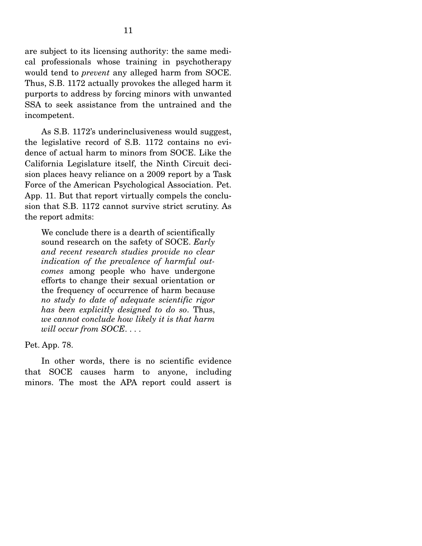are subject to its licensing authority: the same medical professionals whose training in psychotherapy would tend to *prevent* any alleged harm from SOCE. Thus, S.B. 1172 actually provokes the alleged harm it purports to address by forcing minors with unwanted SSA to seek assistance from the untrained and the incompetent.

 As S.B. 1172's underinclusiveness would suggest, the legislative record of S.B. 1172 contains no evidence of actual harm to minors from SOCE. Like the California Legislature itself, the Ninth Circuit decision places heavy reliance on a 2009 report by a Task Force of the American Psychological Association. Pet. App. 11. But that report virtually compels the conclusion that S.B. 1172 cannot survive strict scrutiny. As the report admits:

We conclude there is a dearth of scientifically sound research on the safety of SOCE. *Early and recent research studies provide no clear indication of the prevalence of harmful outcomes* among people who have undergone efforts to change their sexual orientation or the frequency of occurrence of harm because *no study to date of adequate scientific rigor has been explicitly designed to do so*. Thus, *we cannot conclude how likely it is that harm will occur from SOCE*. . . .

Pet. App. 78.

 In other words, there is no scientific evidence that SOCE causes harm to anyone, including minors. The most the APA report could assert is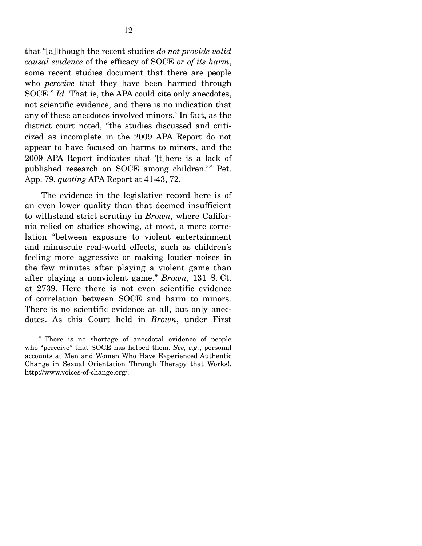that "[a]lthough the recent studies *do not provide valid causal evidence* of the efficacy of SOCE *or of its harm*, some recent studies document that there are people who *perceive* that they have been harmed through SOCE." *Id.* That is, the APA could cite only anecdotes, not scientific evidence, and there is no indication that any of these anecdotes involved minors.<sup>2</sup> In fact, as the district court noted, "the studies discussed and criticized as incomplete in the 2009 APA Report do not appear to have focused on harms to minors, and the 2009 APA Report indicates that '[t]here is a lack of published research on SOCE among children.'" Pet. App. 79, *quoting* APA Report at 41-43, 72.

 The evidence in the legislative record here is of an even lower quality than that deemed insufficient to withstand strict scrutiny in *Brown*, where California relied on studies showing, at most, a mere correlation "between exposure to violent entertainment and minuscule real-world effects, such as children's feeling more aggressive or making louder noises in the few minutes after playing a violent game than after playing a nonviolent game." *Brown*, 131 S. Ct. at 2739. Here there is not even scientific evidence of correlation between SOCE and harm to minors. There is no scientific evidence at all, but only anecdotes. As this Court held in *Brown*, under First

<sup>&</sup>lt;sup>2</sup> There is no shortage of anecdotal evidence of people who "perceive" that SOCE has helped them. *See, e.g.*, personal accounts at Men and Women Who Have Experienced Authentic Change in Sexual Orientation Through Therapy that Works!, http://www.voices-of-change.org/.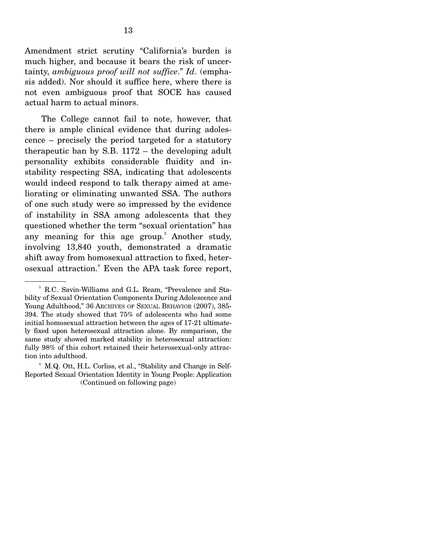Amendment strict scrutiny "California's burden is much higher, and because it bears the risk of uncertainty, *ambiguous proof will not suffice*." *Id*. (emphasis added). Nor should it suffice here, where there is not even ambiguous proof that SOCE has caused actual harm to actual minors.

 The College cannot fail to note, however, that there is ample clinical evidence that during adolescence – precisely the period targeted for a statutory therapeutic ban by S.B. 1172 – the developing adult personality exhibits considerable fluidity and instability respecting SSA, indicating that adolescents would indeed respond to talk therapy aimed at ameliorating or eliminating unwanted SSA. The authors of one such study were so impressed by the evidence of instability in SSA among adolescents that they questioned whether the term "sexual orientation" has any meaning for this age group.<sup>3</sup> Another study, involving 13,840 youth, demonstrated a dramatic shift away from homosexual attraction to fixed, heterosexual attraction.<sup>4</sup> Even the APA task force report,

<sup>3</sup> R.C. Savin-Williams and G.L. Ream, "Prevalence and Stability of Sexual Orientation Components During Adolescence and Young Adulthood," 36 ARCHIVES OF SEXUAL BEHAVIOR (2007), 385- 394. The study showed that 75% of adolescents who had some initial homosexual attraction between the ages of 17-21 ultimately fixed upon heterosexual attraction alone. By comparison, the same study showed marked stability in heterosexual attraction: fully 98% of this cohort retained their heterosexual-only attraction into adulthood.

<sup>4</sup> M.Q. Ott, H.L. Corliss, et al., "Stability and Change in Self-Reported Sexual Orientation Identity in Young People: Application (Continued on following page)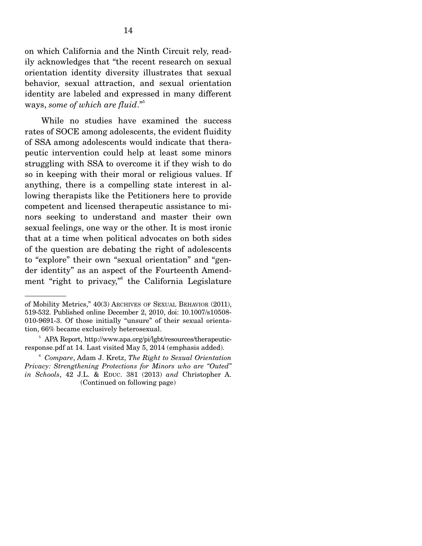on which California and the Ninth Circuit rely, readily acknowledges that "the recent research on sexual orientation identity diversity illustrates that sexual behavior, sexual attraction, and sexual orientation identity are labeled and expressed in many different ways, *some of which are fluid*."5

 While no studies have examined the success rates of SOCE among adolescents, the evident fluidity of SSA among adolescents would indicate that therapeutic intervention could help at least some minors struggling with SSA to overcome it if they wish to do so in keeping with their moral or religious values. If anything, there is a compelling state interest in allowing therapists like the Petitioners here to provide competent and licensed therapeutic assistance to minors seeking to understand and master their own sexual feelings, one way or the other. It is most ironic that at a time when political advocates on both sides of the question are debating the right of adolescents to "explore" their own "sexual orientation" and "gender identity" as an aspect of the Fourteenth Amendment "right to privacy,"6 the California Legislature

of Mobility Metrics," 40(3) ARCHIVES OF SEXUAL BEHAVIOR (2011), 519-532. Published online December 2, 2010, doi: 10.1007/s10508- 010-9691-3. Of those initially "unsure" of their sexual orientation, 66% became exclusively heterosexual.

<sup>5</sup> APA Report, http://www.apa.org/pi/lgbt/resources/therapeuticresponse.pdf at 14. Last visited May 5, 2014 (emphasis added).

<sup>6</sup> *Compare*, Adam J. Kretz, *The Right to Sexual Orientation Privacy: Strengthening Protections for Minors who are "Outed" in Schools*, 42 J.L. & EDUC. 381 (2013) *and* Christopher A. (Continued on following page)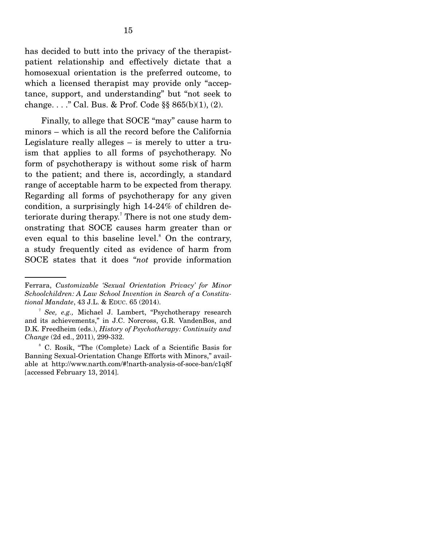has decided to butt into the privacy of the therapistpatient relationship and effectively dictate that a homosexual orientation is the preferred outcome, to which a licensed therapist may provide only "acceptance, support, and understanding" but "not seek to change. . . ." Cal. Bus. & Prof. Code  $\S § 865(b)(1)$ , (2).

 Finally, to allege that SOCE "may" cause harm to minors – which is all the record before the California Legislature really alleges – is merely to utter a truism that applies to all forms of psychotherapy. No form of psychotherapy is without some risk of harm to the patient; and there is, accordingly, a standard range of acceptable harm to be expected from therapy. Regarding all forms of psychotherapy for any given condition, a surprisingly high 14-24% of children deteriorate during therapy.<sup>7</sup> There is not one study demonstrating that SOCE causes harm greater than or even equal to this baseline level.<sup>8</sup> On the contrary, a study frequently cited as evidence of harm from SOCE states that it does "*not* provide information

Ferrara, *Customizable 'Sexual Orientation Privacy' for Minor Schoolchildren: A Law School Invention in Search of a Constitutional Mandate*, 43 J.L. & EDUC. 65 (2014).

<sup>7</sup> *See, e.g.,* Michael J. Lambert, "Psychotherapy research and its achievements," in J.C. Norcross, G.R. VandenBos, and D.K. Freedheim (eds.), *History of Psychotherapy: Continuity and Change* (2d ed., 2011), 299-332.

<sup>8</sup> C. Rosik, "The (Complete) Lack of a Scientific Basis for Banning Sexual-Orientation Change Efforts with Minors," available at http://www.narth.com/#!narth-analysis-of-soce-ban/c1q8f [accessed February 13, 2014].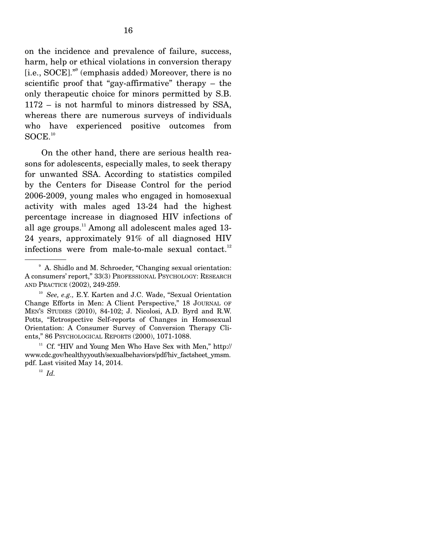on the incidence and prevalence of failure, success, harm, help or ethical violations in conversion therapy [i.e., SOCE]."9 (emphasis added) Moreover, there is no scientific proof that "gay-affirmative" therapy – the only therapeutic choice for minors permitted by S.B. 1172 – is not harmful to minors distressed by SSA, whereas there are numerous surveys of individuals who have experienced positive outcomes from  $\text{SOCE}.^{10}$ 

 On the other hand, there are serious health reasons for adolescents, especially males, to seek therapy for unwanted SSA. According to statistics compiled by the Centers for Disease Control for the period 2006-2009, young males who engaged in homosexual activity with males aged 13-24 had the highest percentage increase in diagnosed HIV infections of all age groups.<sup>11</sup> Among all adolescent males aged  $13$ -24 years, approximately 91% of all diagnosed HIV infections were from male-to-male sexual contact. $12$ 

<sup>9</sup> A. Shidlo and M. Schroeder, "Changing sexual orientation: A consumers' report," 33(3) PROFESSIONAL PSYCHOLOGY: RESEARCH AND PRACTICE (2002), 249-259.

<sup>10</sup> *See, e.g.,* E.Y. Karten and J.C. Wade, "Sexual Orientation Change Efforts in Men: A Client Perspective," 18 JOURNAL OF MEN'S STUDIES (2010), 84-102; J. Nicolosi, A.D. Byrd and R.W. Potts, "Retrospective Self-reports of Changes in Homosexual Orientation: A Consumer Survey of Conversion Therapy Clients," 86 PSYCHOLOGICAL REPORTS (2000), 1071-1088.<br><sup>11</sup> Cf. "HIV and Young Men Who Have Sex with Men," http://

www.cdc.gov/healthyyouth/sexualbehaviors/pdf/hiv\_factsheet\_ymsm. pdf. Last visited May 14, 2014.

 $12 \text{ } Id.$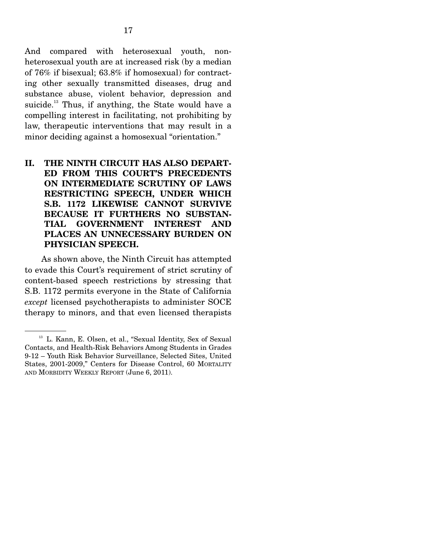And compared with heterosexual youth, nonheterosexual youth are at increased risk (by a median of 76% if bisexual; 63.8% if homosexual) for contracting other sexually transmitted diseases, drug and substance abuse, violent behavior, depression and suicide.<sup>13</sup> Thus, if anything, the State would have a compelling interest in facilitating, not prohibiting by law, therapeutic interventions that may result in a minor deciding against a homosexual "orientation."

## **II. THE NINTH CIRCUIT HAS ALSO DEPART-ED FROM THIS COURT'S PRECEDENTS ON INTERMEDIATE SCRUTINY OF LAWS RESTRICTING SPEECH, UNDER WHICH S.B. 1172 LIKEWISE CANNOT SURVIVE BECAUSE IT FURTHERS NO SUBSTAN-TIAL GOVERNMENT INTEREST AND PLACES AN UNNECESSARY BURDEN ON PHYSICIAN SPEECH.**

 As shown above, the Ninth Circuit has attempted to evade this Court's requirement of strict scrutiny of content-based speech restrictions by stressing that S.B. 1172 permits everyone in the State of California *except* licensed psychotherapists to administer SOCE therapy to minors, and that even licensed therapists

<sup>&</sup>lt;sup>13</sup> L. Kann, E. Olsen, et al., "Sexual Identity, Sex of Sexual Contacts, and Health-Risk Behaviors Among Students in Grades 9-12 – Youth Risk Behavior Surveillance, Selected Sites, United States, 2001-2009," Centers for Disease Control, 60 MORTALITY AND MORBIDITY WEEKLY REPORT (June 6, 2011).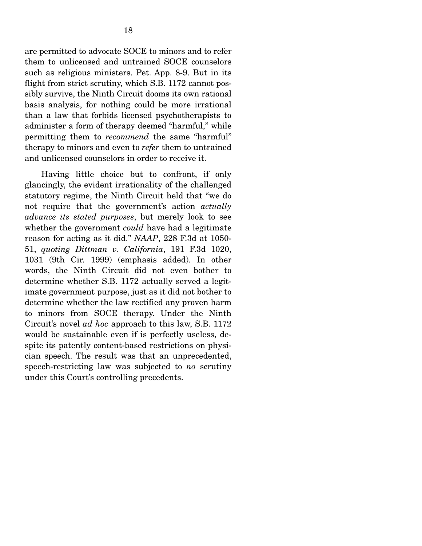are permitted to advocate SOCE to minors and to refer them to unlicensed and untrained SOCE counselors such as religious ministers. Pet. App. 8-9. But in its flight from strict scrutiny, which S.B. 1172 cannot possibly survive, the Ninth Circuit dooms its own rational basis analysis, for nothing could be more irrational than a law that forbids licensed psychotherapists to administer a form of therapy deemed "harmful," while permitting them to *recommend* the same "harmful" therapy to minors and even to *refer* them to untrained and unlicensed counselors in order to receive it.

 Having little choice but to confront, if only glancingly, the evident irrationality of the challenged statutory regime, the Ninth Circuit held that "we do not require that the government's action *actually advance its stated purposes*, but merely look to see whether the government *could* have had a legitimate reason for acting as it did." *NAAP*, 228 F.3d at 1050- 51, *quoting Dittman v. California*, 191 F.3d 1020, 1031 (9th Cir. 1999) (emphasis added). In other words, the Ninth Circuit did not even bother to determine whether S.B. 1172 actually served a legitimate government purpose, just as it did not bother to determine whether the law rectified any proven harm to minors from SOCE therapy. Under the Ninth Circuit's novel *ad hoc* approach to this law, S.B. 1172 would be sustainable even if is perfectly useless, despite its patently content-based restrictions on physician speech. The result was that an unprecedented, speech-restricting law was subjected to *no* scrutiny under this Court's controlling precedents.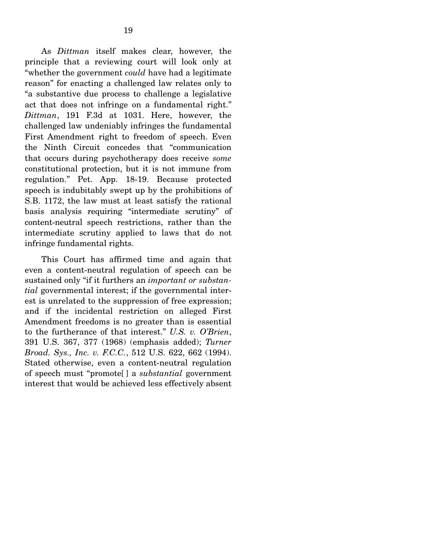As *Dittman* itself makes clear, however, the principle that a reviewing court will look only at "whether the government *could* have had a legitimate reason" for enacting a challenged law relates only to "a substantive due process to challenge a legislative act that does not infringe on a fundamental right." *Dittman*, 191 F.3d at 1031. Here, however, the challenged law undeniably infringes the fundamental First Amendment right to freedom of speech. Even the Ninth Circuit concedes that "communication that occurs during psychotherapy does receive *some* constitutional protection, but it is not immune from regulation." Pet. App. 18-19. Because protected speech is indubitably swept up by the prohibitions of S.B. 1172, the law must at least satisfy the rational basis analysis requiring "intermediate scrutiny" of content-neutral speech restrictions, rather than the intermediate scrutiny applied to laws that do not infringe fundamental rights.

 This Court has affirmed time and again that even a content-neutral regulation of speech can be sustained only "if it furthers an *important or substantial* governmental interest; if the governmental interest is unrelated to the suppression of free expression; and if the incidental restriction on alleged First Amendment freedoms is no greater than is essential to the furtherance of that interest." *U.S. v. O'Brien*, 391 U.S. 367, 377 (1968) (emphasis added); *Turner Broad. Sys., Inc. v. F.C.C.*, 512 U.S. 622, 662 (1994). Stated otherwise, even a content-neutral regulation of speech must "promote[ ] a *substantial* government interest that would be achieved less effectively absent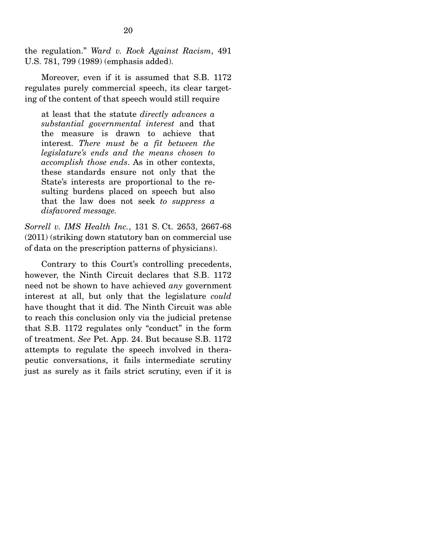the regulation." *Ward v. Rock Against Racism*, 491 U.S. 781, 799 (1989) (emphasis added).

 Moreover, even if it is assumed that S.B. 1172 regulates purely commercial speech, its clear targeting of the content of that speech would still require

at least that the statute *directly advances a substantial governmental interest* and that the measure is drawn to achieve that interest. *There must be a fit between the legislature's ends and the means chosen to accomplish those ends*. As in other contexts, these standards ensure not only that the State's interests are proportional to the resulting burdens placed on speech but also that the law does not seek *to suppress a disfavored message.*

*Sorrell v. IMS Health Inc.*, 131 S. Ct. 2653, 2667-68 (2011) (striking down statutory ban on commercial use of data on the prescription patterns of physicians).

 Contrary to this Court's controlling precedents, however, the Ninth Circuit declares that S.B. 1172 need not be shown to have achieved *any* government interest at all, but only that the legislature *could* have thought that it did. The Ninth Circuit was able to reach this conclusion only via the judicial pretense that S.B. 1172 regulates only "conduct" in the form of treatment. *See* Pet. App. 24. But because S.B. 1172 attempts to regulate the speech involved in therapeutic conversations, it fails intermediate scrutiny just as surely as it fails strict scrutiny, even if it is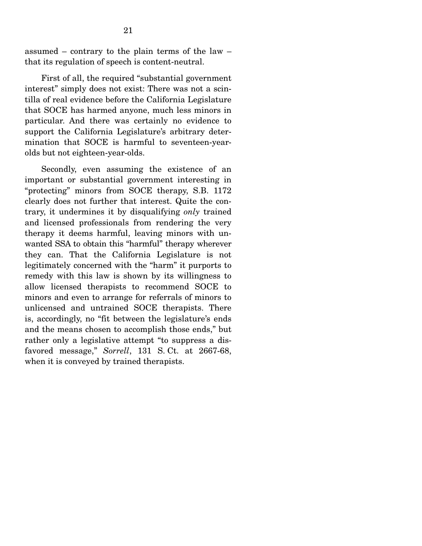assumed – contrary to the plain terms of the law – that its regulation of speech is content-neutral.

 First of all, the required "substantial government interest" simply does not exist: There was not a scintilla of real evidence before the California Legislature that SOCE has harmed anyone, much less minors in particular. And there was certainly no evidence to support the California Legislature's arbitrary determination that SOCE is harmful to seventeen-yearolds but not eighteen-year-olds.

 Secondly, even assuming the existence of an important or substantial government interesting in "protecting" minors from SOCE therapy, S.B. 1172 clearly does not further that interest. Quite the contrary, it undermines it by disqualifying *only* trained and licensed professionals from rendering the very therapy it deems harmful, leaving minors with unwanted SSA to obtain this "harmful" therapy wherever they can. That the California Legislature is not legitimately concerned with the "harm" it purports to remedy with this law is shown by its willingness to allow licensed therapists to recommend SOCE to minors and even to arrange for referrals of minors to unlicensed and untrained SOCE therapists. There is, accordingly, no "fit between the legislature's ends and the means chosen to accomplish those ends," but rather only a legislative attempt "to suppress a disfavored message," *Sorrell*, 131 S. Ct. at 2667-68, when it is conveyed by trained therapists.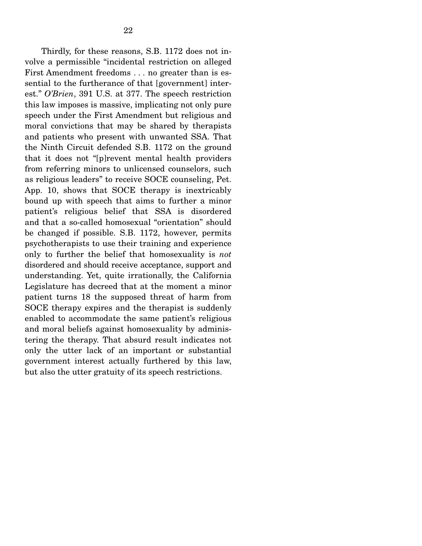Thirdly, for these reasons, S.B. 1172 does not involve a permissible "incidental restriction on alleged First Amendment freedoms . . . no greater than is essential to the furtherance of that [government] interest." *O'Brien*, 391 U.S. at 377. The speech restriction this law imposes is massive, implicating not only pure speech under the First Amendment but religious and moral convictions that may be shared by therapists and patients who present with unwanted SSA. That the Ninth Circuit defended S.B. 1172 on the ground that it does not "[p]revent mental health providers from referring minors to unlicensed counselors, such as religious leaders" to receive SOCE counseling, Pet. App. 10, shows that SOCE therapy is inextricably bound up with speech that aims to further a minor patient's religious belief that SSA is disordered and that a so-called homosexual "orientation" should be changed if possible. S.B. 1172, however, permits psychotherapists to use their training and experience only to further the belief that homosexuality is *not* disordered and should receive acceptance, support and understanding. Yet, quite irrationally, the California Legislature has decreed that at the moment a minor patient turns 18 the supposed threat of harm from SOCE therapy expires and the therapist is suddenly enabled to accommodate the same patient's religious and moral beliefs against homosexuality by administering the therapy. That absurd result indicates not only the utter lack of an important or substantial government interest actually furthered by this law, but also the utter gratuity of its speech restrictions.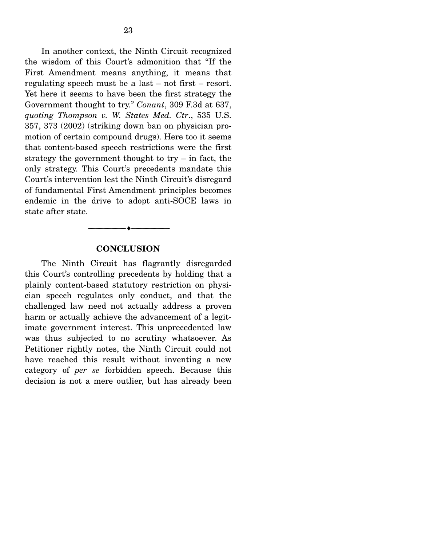In another context, the Ninth Circuit recognized the wisdom of this Court's admonition that "If the First Amendment means anything, it means that regulating speech must be a last – not first – resort. Yet here it seems to have been the first strategy the Government thought to try." *Conant*, 309 F.3d at 637, *quoting Thompson v. W. States Med. Ctr*., 535 U.S. 357, 373 (2002) (striking down ban on physician promotion of certain compound drugs). Here too it seems that content-based speech restrictions were the first strategy the government thought to try  $-$  in fact, the only strategy. This Court's precedents mandate this Court's intervention lest the Ninth Circuit's disregard of fundamental First Amendment principles becomes endemic in the drive to adopt anti-SOCE laws in state after state.

#### **CONCLUSION**

--------------------------------- ---------------------------------

 The Ninth Circuit has flagrantly disregarded this Court's controlling precedents by holding that a plainly content-based statutory restriction on physician speech regulates only conduct, and that the challenged law need not actually address a proven harm or actually achieve the advancement of a legitimate government interest. This unprecedented law was thus subjected to no scrutiny whatsoever. As Petitioner rightly notes, the Ninth Circuit could not have reached this result without inventing a new category of *per se* forbidden speech. Because this decision is not a mere outlier, but has already been